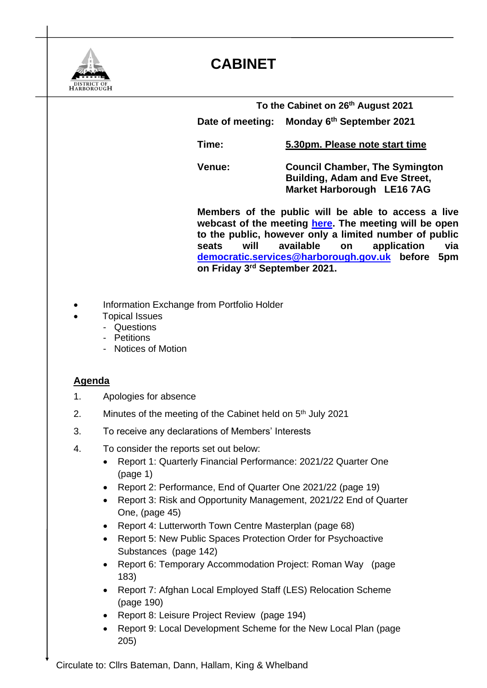

## **CABINET**

**To the Cabinet on 26 th August 2021 Date of meeting: th September 2021**

**Time: 5.30pm. Please note start time**

**Venue: Council Chamber, The Symington Building, Adam and Eve Street, Market Harborough LE16 7AG**

**Members of the public will be able to access a live webcast of the meeting [here.](https://cmis.harborough.gov.uk/cmis5/Meetings/tabid/73/ctl/ViewMeetingPublic/mid/410/Meeting/5610/Committee/807/SelectedTab/Documents/Default.aspx) The meeting will be open to the public, however only a limited number of public seats will available on application via [democratic.services@harborough.gov.uk](mailto:democratic.services@harborough.gov.uk) before 5pm on Friday 3 rd September 2021.** 

- Information Exchange from Portfolio Holder
- Topical Issues
	- Questions
	- Petitions
	- Notices of Motion

## **Agenda**

- 1. Apologies for absence
- 2. Minutes of the meeting of the Cabinet held on 5<sup>th</sup> July 2021
- 3. To receive any declarations of Members' Interests
- 4. To consider the reports set out below:
	- Report 1: Quarterly Financial Performance: 2021/22 Quarter One (page 1)
	- Report 2: Performance, End of Quarter One 2021/22 (page 19)
	- Report 3: Risk and Opportunity Management, 2021/22 End of Quarter One, (page 45)
	- Report 4: Lutterworth Town Centre Masterplan (page 68)
	- Report 5: New Public Spaces Protection Order for Psychoactive Substances (page 142)
	- Report 6: Temporary Accommodation Project: Roman Way (page 183)
	- Report 7: Afghan Local Employed Staff (LES) Relocation Scheme (page 190)
	- Report 8: Leisure Project Review (page 194)
	- Report 9: Local Development Scheme for the New Local Plan (page 205)